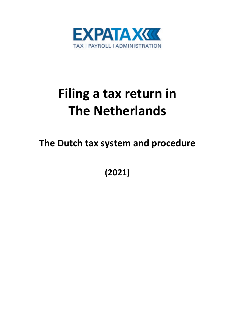

# **Filing a tax return in The Netherlands**

**The Dutch tax system and procedure**

**(2021)**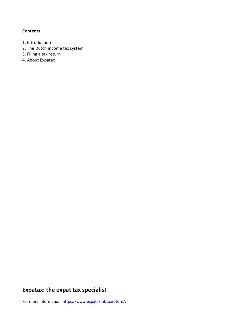#### **Contents**

- 1. Introduction
- 2. The Dutch income tax system
- 3. Filing a tax return
- 4. About Expatax

# **Expatax: the expat tax specialist**

For more information: https://www.expatax.nl/taxreturn/.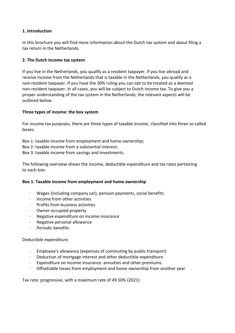# **1. Introduction**

In this brochure you will find more information about the Dutch tax system and about filing a tax return in the Netherlands.

# **2. The Dutch income tax system**

If you live in the Netherlands, you qualify as a resident taxpayer. If you live abroad and receive income from the Netherlands that is taxable in the Netherlands, you qualify as a non-resident taxpayer. If you have the 30% ruling you can opt to be treated as a deemed non-resident taxpayer. In all cases, you will be subject to Dutch income tax. To give you a proper understanding of the tax system in the Netherlands, the relevant aspects will be outlined below.

# **Three types of income: the box system**

For income tax purposes, there are three types of taxable income, classified into three so called boxes:

- Box 1: taxable income from employment and home ownership;
- Box 2: taxable income from a substantial interest;
- Box 3: taxable income from savings and investments.

The following overview shows the income, deductible expenditure and tax rates pertaining to each box.

#### **Box 1: Taxable income from employment and home ownership**

- · Wages (including company car), pension payments, social benefits
- · Income from other activities
- · Profits from business activities
- · Owner-occupied property
- · Negative expenditure on income insurance
- · Negative personal allowance
- · Periodic benefits

#### Deductible expenditure:

- · Employee's allowance (expenses of commuting by public transport)
- Deduction of mortgage interest and other deductible expenditure
- · Expenditure on income insurance: annuities and other premiums
- · Offsettable losses from employment and home ownership from another year

Tax rate: progressive, with a maximum rate of 49.50% (2021)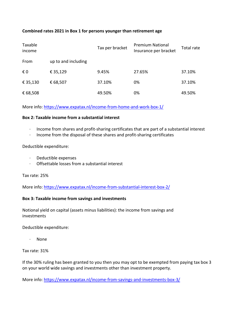# **Combined rates 2021 in Box 1 for persons younger than retirement age**

| Taxable<br>income |                     | Tax per bracket | <b>Premium National</b><br>Insurance per bracket | Total rate |
|-------------------|---------------------|-----------------|--------------------------------------------------|------------|
| From              | up to and including |                 |                                                  |            |
| € 0               | € 35,129            | 9.45%           | 27.65%                                           | 37.10%     |
| € 35,130          | € 68,507            | 37.10%          | 0%                                               | 37.10%     |
| € 68,508          |                     | 49.50%          | 0%                                               | 49.50%     |

More info:<https://www.expatax.nl/income-from-home-and-work-box-1/>

#### **Box 2: Taxable income from a substantial interest**

- · Income from shares and profit-sharing certificates that are part of a substantial interest
- · Income from the disposal of these shares and profit-sharing certificates

#### Deductible expenditure:

- · Deductible expenses
- · Offsettable losses from a substantial interest

Tax rate: 25%

More info:<https://www.expatax.nl/income-from-substantial-interest-box-2/>

# **Box 3: Taxable income from savings and investments**

Notional yield on capital (assets minus liabilities): the income from savings and investments

Deductible expenditure:

· None

Tax rate: 31%

If the 30% ruling has been granted to you then you may opt to be exempted from paying tax box 3 on your world wide savings and investments other than investment property.

More info:<https://www.expatax.nl/income-from-savings-and-investments-box-3/>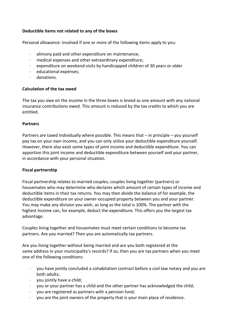# **Deductible items not related to any of the boxes**

Personal allowance: involved if one or more of the following items apply to you:

- alimony paid and other expenditure on maintenance;
- · medical expenses and other extraordinary expenditure;
- expenditure on weekend visits by handicapped children of 30 years or older
- educational expenses:
- · donations.

# **Calculation of the tax owed**

The tax you owe on the income in the three boxes is levied as one amount with any national insurance contributions owed. This amount is reduced by the tax credits to which you are entitled.

#### **Partners**

Partners are taxed individually where possible. This means that – in principle – you yourself pay tax on your own income, and you can only utilize your deductible expenditure yourself. However, there also exist some types of joint income and deductible expenditure. You can apportion this joint income and deductible expenditure between yourself and your partner, in accordance with your personal situation.

# **Fiscal partnership**

Fiscal partnership relates to married couples, couples living together (partners) or housemates who may determine who declares which amount of certain types of income and deductible items in their tax returns. You may then divide the balance of for example, the deductible expenditure on your owner-occupied property between you and your partner. You may make any division you wish, as long as the total is 100%. The partner with the highest income can, for example, deduct the expenditure. This offers you the largest tax advantage.

Couples living together and housemates must meet certain conditions to become tax partners. Are you married? Then you are automatically tax partners.

Are you living together without being married and are you both registered at the same address in your municipality's records? If so, then you are tax partners when you meet one of the following conditions:

- · you have jointly concluded a cohabitation contract before a civil-law notary and you are both adults;
- you jointly have a child;
- · you or your partner has a child and the other partner has acknowledged the child;
- you are registered as partners with a pension fund;
- · you are the joint owners of the property that is your main place of residence.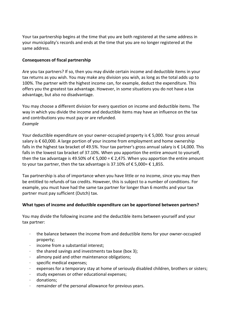Your tax partnership begins at the time that you are both registered at the same address in your municipality's records and ends at the time that you are no longer registered at the same address.

# **Consequences of fiscal partnership**

Are you tax partners? If so, then you may divide certain income and deductible items in your tax returns as you wish. You may make any division you wish, as long as the total adds up to 100%. The partner with the highest income can, for example, deduct the expenditure. This offers you the greatest tax advantage. However, in some situations you do not have a tax advantage, but also no disadvantage.

You may choose a different division for every question on income and deductible items. The way in which you divide the income and deductible items may have an influence on the tax and contributions you must pay or are refunded. *Example*

Your deductible expenditure on your owner-occupied property is € 5,000. Your gross annual salary is € 60,000. A large portion of your income from employment and home ownership falls in the highest tax bracket of 49.5%. Your tax partner's gross annual salary is € 14,000. This falls in the lowest tax bracket of 37.10%. When you apportion the entire amount to yourself, then the tax advantage is 49.50% of  $\epsilon$  5,000 =  $\epsilon$  2,475. When you apportion the entire amount to your tax partner, then the tax advantage is 37.10% of  $\epsilon$  5,000=  $\epsilon$  1,855.

Tax partnership is also of importance when you have little or no income, since you may then be entitled to refunds of tax credits. However, this is subject to a number of conditions. For example, you must have had the same tax partner for longer than 6 months and your tax partner must pay sufficient (Dutch) tax.

# **What types of income and deductible expenditure can be apportioned between partners?**

You may divide the following income and the deductible items between yourself and your tax partner:

- $\cdot$  the balance between the income from and deductible items for your owner-occupied property;
- income from a substantial interest:
- $\cdot$  the shared savings and investments tax base (box 3);
- alimony paid and other maintenance obligations;
- · specific medical expenses;
- expenses for a temporary stay at home of seriously disabled children, brothers or sisters;
- study expenses or other educational expenses;
- · donations;
- · remainder of the personal allowance for previous years.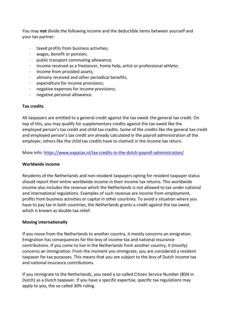You may **not** divide the following income and the deductible items between yourself and your tax partner:

- · taxed profits from business activities;
- · wages, benefit or pension;
- · public transport commuting allowance;
- income received as a freelancer, home help, artist or professional athlete;
- · income from provided assets;
- · alimony received and other periodical benefits;
- · expenditure for income provisions;
- · negative expenses for income provisions;
- · negative personal allowance.

#### **Tax credits**

All taxpayers are entitled to a general credit against the tax owed: the general tax credit. On top of this, you may qualify for supplementary credits against the tax owed like the employed person's tax credit and child tax credits. Some of the credits like the general tax credit and employed person's tax credit are already calculated in the payroll administration of the employer, others like the child tax credits have to claimed in the income tax return.

More info:<https://www.expatax.nl/tax-credits-in-the-dutch-payroll-administration/>

#### **Worldwide income**

Residents of the Netherlands and non-resident taxpayers opting for resident taxpayer status should report their entire worldwide income in their income tax returns. This worldwide income also includes the revenue which the Netherlands is not allowed to tax under national and international regulations. Examples of such revenue are income from employment, profits from business activities or capital in other countries. To avoid a situation where you have to pay tax in both countries, the Netherlands grants a credit against the tax owed, which is known as double tax relief.

#### **Moving internationally**

If you move from the Netherlands to another country, it mostly concerns an emigration. Emigration has consequences for the levy of income tax and national insurance contributions. If you come to live in the Netherlands from another country, it (mostly) concerns an immigration. From the moment you immigrate, you are considered a resident taxpayer for tax purposes. This means that you are subject to the levy of Dutch income tax and national insurance contributions.

If you immigrate to the Netherlands, you need a so-called Citizen Service Number (BSN in Dutch) as a Dutch taxpayer. If you have a specific expertise, specific tax regulations may apply to you, the so called 30% ruling.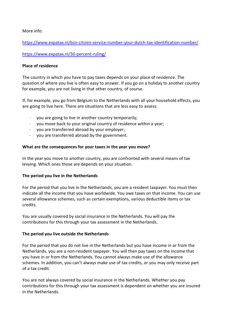More info:

<https://www.expatax.nl/bsn-citizen-service-number-your-dutch-tax-identification-number/>

<https://www.expatax.nl/30-percent-ruling/>

# **Place of residence**

The country in which you have to pay taxes depends on your place of residence. The question of where you live is often easy to answer. If you go on a holiday to another country for example, you are not living in that other country, of course.

If, for example, you go from Belgium to the Netherlands with all your household effects, you are going to live here. There are situations that are less easy to assess:

- · you are going to live in another country temporarily;
- · you move back to your original country of residence within a year;
- · you are transferred abroad by your employer;
- · you are transferred abroad by the government.

# **What are the consequences for your taxes in the year you move?**

In the year you move to another country, you are confronted with several means of tax levying. Which ones those are depends on your situation.

#### **The period you live in the Netherlands**

For the period that you live in the Netherlands, you are a resident taxpayer. You must then indicate all the income that you have worldwide. You owe taxes on that income. You can use several allowance schemes, such as certain exemptions, various deductible items or tax credits.

You are usually covered by social insurance in the Netherlands. You will pay the contributions for this through your tax assessment in the Netherlands.

#### **The period you live outside the Netherlands**

For the period that you do not live in the Netherlands but you have income in or from the Netherlands, you are a non-resident taxpayer. You will then pay taxes on the income that you have in or from the Netherlands. You cannot always make use of the allowance schemes. In addition, you can't always make use of tax credits, or you may only receive part of a tax credit.

You are not always covered by social insurance in the Netherlands. Whether you pay contributions for this through your tax assessment is dependent on whether you are insured in the Netherlands.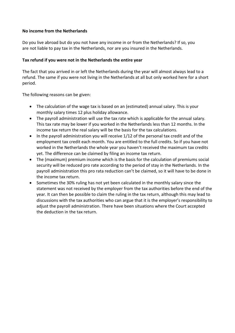# **No income from the Netherlands**

Do you live abroad but do you not have any income in or from the Netherlands? If so, you are not liable to pay tax in the Netherlands, nor are you insured in the Netherlands.

# **Tax refund if you were not in the Netherlands the entire year**

The fact that you arrived in or left the Netherlands during the year will almost always lead to a refund. The same if you were not living in the Netherlands at all but only worked here for a short period.

The following reasons can be given:

- The calculation of the wage tax is based on an (estimated) annual salary. This is your monthly salary times 12 plus holiday allowance.
- The payroll administration will use the tax rate which is applicable for the annual salary. This tax rate may be lower if you worked in the Netherlands less than 12 months. In the income tax return the real salary will be the basis for the tax calculations.
- In the payroll administration you will receive 1/12 of the personal tax credit and of the employment tax credit each month. You are entitled to the full credits. So if you have not worked in the Netherlands the whole year you haven't received the maximum tax credits yet. The difference can be claimed by filing an income tax return.
- The (maximum) premium income which is the basis for the calculation of premiums social security will be reduced pro rate according to the period of stay in the Netherlands. In the payroll administration this pro rata reduction can't be claimed, so it will have to be done in the income tax return.
- Sometimes the 30% ruling has not yet been calculated in the monthly salary since the statement was not received by the employer from the tax authorities before the end of the year. It can then be possible to claim the ruling in the tax return, although this may lead to discussions with the tax authorities who can argue that it is the employer's responsibility to adjust the payroll administration. There have been situations where the Court accepted the deduction in the tax return.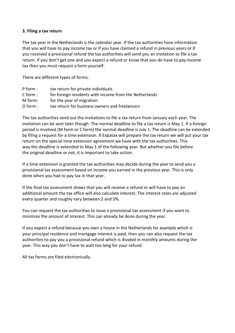#### **3. Filing a tax return**

The tax year in the Netherlands is the calendar year. If the tax authorities have information that you will have to pay income tax or if you have claimed a refund in previous years or if you received a provisional refund the tax authorities will send you an invitation to file a tax return. If you don't get one and you expect a refund or know that you do have to pay income tax then you must request a form yourself.

There are different types of forms.

| $P$ form : | tax return for private individuals                     |
|------------|--------------------------------------------------------|
| $C$ form : | for foreign residents with income from the Netherlands |
| M form:    | for the year of migration                              |
| $O$ form : | tax return for business owners and freelancers         |

The tax authorities send out the invitations to file a tax return from January each year. The invitation can be sent later though. The normal deadline to file a tax return is May 1. If a foreign period is involved (M form or C form) the normal deadline is July 1. The deadline can be extended by filing a request for a time extension. If Expatax will prepare the tax return we will put your tax return on the special time extension agreement we have with the tax authorities. This way the deadline is extended to May 1 of the following year. But whether you file before the original deadline or not, it is important to take action.

If a time extension is granted the tax authorities may decide during the year to send you a provisional tax assessment based on income you earned in the previous year. This is only done when you had to pay tax in that year.

If the final tax assessment shows that you will receive a refund or will have to pay an additional amount the tax office will also calculate interest. The interest rates are adjusted every quarter and roughly vary between 2 and 5%.

You can request the tax authorities to issue a provisional tax assessment if you want to minimize the amount of interest. This can already be done during the year.

If you expect a refund because you own a house in the Netherlands for example which is your principal residence and mortgage interest is paid, then you can also request the tax authorities to pay you a provisional refund which is divided in monthly amounts during the year. This way you don't have to wait too long for your refund.

All tax forms are filed electronically.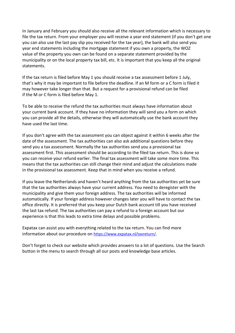In January and February you should also receive all the relevant information which is necessary to file the tax return. From your employer you will receive a year end statement (if you don't get one you can also use the last pay slip you received for the tax year), the bank will also send you year end statements including the mortgage statement if you own a property, the WOZ value of the property you own can be found on a separate statement provided by the municipality or on the local property tax bill, etc. It is important that you keep all the original statements.

If the tax return is filed before May 1 you should receive a tax assessment before 1 July, that's why it may be important to file before the deadline. If an M form or a C form is filed it may however take longer than that. But a request for a provisional refund can be filed if the M or C form is filed before May 1.

To be able to receive the refund the tax authorities must always have information about your current bank account. If they have no information they will send you a form on which you can provide all the details, otherwise they will automatically use the bank account they have used the last time.

If you don't agree with the tax assessment you can object against it within 6 weeks after the date of the assessment. The tax authorities can also ask additional questions before they send you a tax assessment. Normally the tax authorities send you a provisional tax assessment first. This assessment should be according to the filed tax return. This is done so you can receive your refund earlier. The final tax assessment will take some more time. This means that the tax authorities can still change their mind and adjust the calculations made in the provisional tax assessment. Keep that in mind when you receive a refund.

If you leave the Netherlands and haven't heard anything from the tax authorities yet be sure that the tax authorities always have your current address. You need to deregister with the municipality and give them your foreign address. The tax authorities will be informed automatically. If your foreign address however changes later you will have to contact the tax office directly. It is preferred that you keep your Dutch bank account till you have received the last tax refund. The tax authorities can pay a refund to a foreign account but our experience is that this leads to extra time delays and possible problems.

Expatax can assist you with everything related to the tax return. You can find more information about our procedure on [https://www.expatax.nl/taxreturn/.](https://www.expatax.nl/taxreturn/)

Don't forget to check our website which provides answers to a lot of questions. Use the Search button in the menu to search through all our posts and knowledge base articles.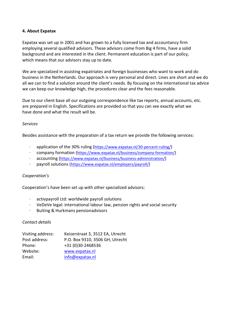#### **4. About Expatax**

Expatax was set up in 2001 and has grown to a fully licensed tax and accountancy firm employing several qualified advisors. These advisors come from Big 4 firms, have a solid background and are interested in the client. Permanent education is part of our policy, which means that our advisors stay up to date.

We are specialized in assisting expatriates and foreign businesses who want to work and do business in the Netherlands. Our approach is very personal and direct. Lines are short and we do all we can to find a solution around the client's needs. By focusing on the international tax advice we can keep our knowledge high, the procedures clear and the fees reasonable.

Due to our client base all our outgoing correspondence like tax reports, annual accounts, etc. are prepared in English. Specifications are provided so that you can see exactly what we have done and what the result will be.

# *Services*

Besides assistance with the preparation of a tax return we provide the following services:

- · application of the 30% ruling [\(https://www.expatax.nl/30-percent-ruling/\)](https://www.expatax.nl/30-percent-ruling/)
- company formation [\(https://www.expatax.nl/business/company-formation/\)](https://www.expatax.nl/business/company-formation/)
- · accounting [\(https://www.expatax.nl/business/business-administration/\)](https://www.expatax.nl/business/business-administration/)
- · payroll solutions [\(https://www.expatax.nl/employers/payroll/\)](https://www.expatax.nl/employers/payroll/)

#### *Cooperation's*

Cooperation's have been set up with other specialized advisors:

- · activpayroll Ltd: worldwide payroll solutions
- · VeDeVe legal: international labour law, pension rights and social security
- · Buiting & Hurkmans pensionadvisors

#### *Contact details*

| Visiting address: | Keizerstraat 3, 3512 EA, Utrecht |
|-------------------|----------------------------------|
| Post address:     | P.O. Box 9310, 3506 GH, Utrecht  |
| Phone:            | +31 (0)30-2468536                |
| Website:          | www.expatax.nl                   |
| Email:            | info@expatax.nl                  |